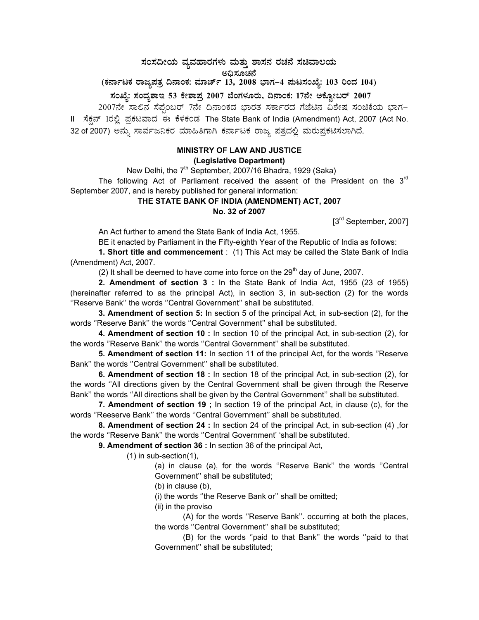ಸಂಸದೀಯ ವ್ಯವಹಾರಗಳು ಮತ್ತು ಶಾಸನ ರಚನೆ ಸಚಿವಾಲಯ

**C¢ü¸ÀÆZÀ£É** 

(ಕರ್ನಾಟಕ ರಾಜ್ಯಪತ್ರ ದಿನಾಂಕ: ಮಾರ್ಚ್ 13, 2008 ಭಾಗ–4 **ಪುಟಸಂಖ್ಯೆ: 103 ರಿಂದ 104)** 

 **¸ÀASÉå: ¸ÀAªÀå±ÁE 53 PÉñÁ¥Àæ 2007 ¨ÉAUÀ¼ÀÆgÀÄ, ¢£ÁAPÀ: 17£Éà CPÉÆÖçgï 2007** 

2007ನೇ ಸಾಲಿನ ಸೆಪ್ಟೆಂಬರ್ 7ನೇ ದಿನಾಂಕದ ಭಾರತ ಸರ್ಕಾರದ ಗೆಜೆಟಿನ ವಿಶೇಷ ಸಂಚಿಕೆಯ ಭಾಗ– II ಸೆಕ್ಷನ್ 1ರಲ್ಲಿ ಪ್ರಕಟವಾದ ಈ ಕೆಳಕಂಡ The State Bank of India (Amendment) Act, 2007 (Act No. 32 of 2007) ಅನ್ನು ಸಾರ್ವಜನಿಕರ ಮಾಹಿತಿಗಾಗಿ ಕರ್ನಾಟಕ ರಾಜ್ಯ ಪತ್ರದಲ್ಲಿ ಮರುಪ್ರಕಟಿಸಲಾಗಿದೆ.

## **MINISTRY OF LAW AND JUSTICE (Legislative Department)**

New Delhi, the 7<sup>th</sup> September, 2007/16 Bhadra, 1929 (Saka)

The following Act of Parliament received the assent of the President on the  $3<sup>rd</sup>$ September 2007, and is hereby published for general information:

## **THE STATE BANK OF INDIA (AMENDMENT) ACT, 2007 No. 32 of 2007**

[3<sup>rd</sup> September, 2007]

An Act further to amend the State Bank of India Act, 1955.

BE it enacted by Parliament in the Fifty-eighth Year of the Republic of India as follows:

**1. Short title and commencement** : (1) This Act may be called the State Bank of India (Amendment) Act, 2007.

(2) It shall be deemed to have come into force on the  $29<sup>th</sup>$  day of June, 2007.

**2. Amendment of section 3 :** In the State Bank of India Act, 1955 (23 of 1955) (hereinafter referred to as the principal Act), in section 3, in sub-section (2) for the words ''Reserve Bank'' the words ''Central Government'' shall be substituted.

**3. Amendment of section 5:** In section 5 of the principal Act, in sub-section (2), for the words ''Reserve Bank'' the words ''Central Government'' shall be substituted.

**4. Amendment of section 10 :** In section 10 of the principal Act, in sub-section (2), for the words ''Reserve Bank'' the words ''Central Government'' shall be substituted.

**5. Amendment of section 11:** In section 11 of the principal Act, for the words ''Reserve Bank'' the words ''Central Government'' shall be substituted.

**6. Amendment of section 18 :** In section 18 of the principal Act, in sub-section (2), for the words ''All directions given by the Central Government shall be given through the Reserve Bank'' the words ''All directions shall be given by the Central Government'' shall be substituted.

**7. Amendment of section 19 ;** In section 19 of the principal Act, in clause (c), for the words ''Reeserve Bank'' the words ''Central Government'' shall be substituted.

**8. Amendment of section 24 :** In section 24 of the principal Act, in sub-section (4) ,for the words ''Reserve Bank'' the words ''Central Government' 'shall be substituted.

**9. Amendment of section 36 :** In section 36 of the principal Act,

(1) in sub-section(1),

(a) in clause (a), for the words ''Reserve Bank'' the words ''Central Government'' shall be substituted;

(b) in clause (b),

(i) the words ''the Reserve Bank or'' shall be omitted;

(ii) in the proviso

 (A) for the words ''Reserve Bank''. occurring at both the places, the words ''Central Government'' shall be substituted;

 (B) for the words ''paid to that Bank'' the words ''paid to that Government'' shall be substituted;